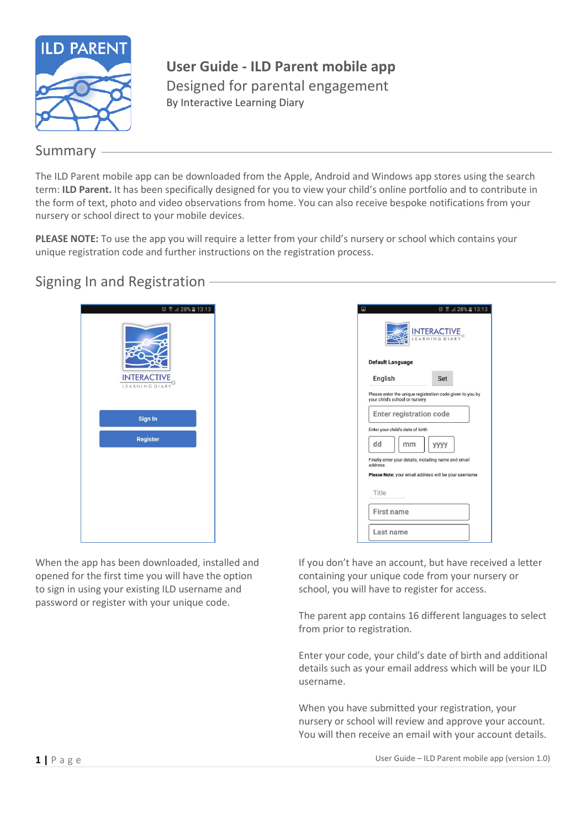

**User Guide - ILD Parent mobile app** Designed for parental engagement By Interactive Learning Diary

### Summary

The ILD Parent mobile app can be downloaded from the Apple, Android and Windows app stores using the search term: **ILD Parent.** It has been specifically designed for you to view your child's online portfolio and to contribute in the form of text, photo and video observations from home. You can also receive bespoke notifications from your nursery or school direct to your mobile devices.

**PLEASE NOTE:** To use the app you will require a letter from your child's nursery or school which contains your unique registration code and further instructions on the registration process.

### Signing In and Registration

| $0$ $\sqrt{3}$ 28% 13:13<br><b>INTERACTIVE</b><br>LEARNING DIARY |
|------------------------------------------------------------------|
| Sign In                                                          |
| <b>Register</b>                                                  |
|                                                                  |

When the app has been downloaded, installed and opened for the first time you will have the option to sign in using your existing ILD username and password or register with your unique code.

| $\Box$                  | $\circledcirc$ $\circledcirc$ $\circledcirc$ $28\%$ $\circledcirc$ 13:13<br><b>INTERACTIVE</b><br>LEARNING DIARY |  |
|-------------------------|------------------------------------------------------------------------------------------------------------------|--|
| <b>Default Language</b> |                                                                                                                  |  |
| English                 | Set                                                                                                              |  |
|                         | Please enter the unique registration code given to you by<br>your child's school or nursery                      |  |
|                         | <b>Enter registration code</b>                                                                                   |  |
|                         | Enter your child's date of birth                                                                                 |  |
| dd                      | уууу<br>mm                                                                                                       |  |
| address                 | Finally enter your details, including name and email                                                             |  |
|                         | Please Note: your email address will be your username                                                            |  |
| Title                   |                                                                                                                  |  |
| <b>First name</b>       |                                                                                                                  |  |
| Last name               |                                                                                                                  |  |

If you don't have an account, but have received a letter containing your unique code from your nursery or school, you will have to register for access.

The parent app contains 16 different languages to select from prior to registration.

Enter your code, your child's date of birth and additional details such as your email address which will be your ILD username.

When you have submitted your registration, your nursery or school will review and approve your account. You will then receive an email with your account details.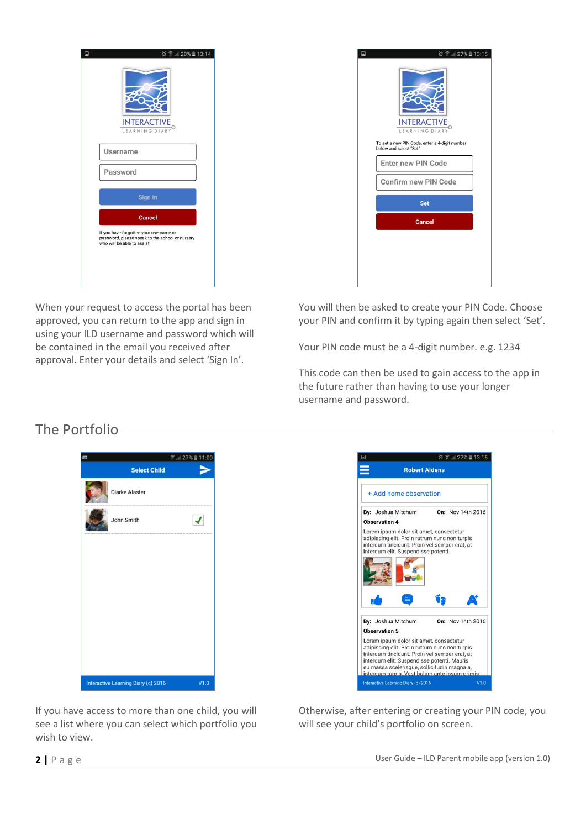| 2 7 28% 13:14<br>$\square$<br><b>INTERACTIVE</b><br>LEARNING DIARY                                                       |  |
|--------------------------------------------------------------------------------------------------------------------------|--|
| Username                                                                                                                 |  |
| Password<br>Sign In                                                                                                      |  |
| <b>Cancel</b>                                                                                                            |  |
| If you have forgotten your username or<br>password, please speak to the school or nursery<br>who will be able to assist! |  |

When your request to access the portal has been approved, you can return to the app and sign in using your ILD username and password which will be contained in the email you received after approval. Enter your details and select 'Sign In'.

| below and select "Set" | <b>INTERACTIVE</b><br>LEARNING DIARY<br>To set a new PIN Code, enter a 4-digit number |  |
|------------------------|---------------------------------------------------------------------------------------|--|
|                        | <b>Enter new PIN Code</b>                                                             |  |
|                        | Confirm new PIN Code                                                                  |  |
|                        | <b>Set</b>                                                                            |  |
|                        | Cancel                                                                                |  |

You will then be asked to create your PIN Code. Choose your PIN and confirm it by typing again then select 'Set'.

Your PIN code must be a 4-digit number. e.g. 1234

This code can then be used to gain access to the app in the future rather than having to use your longer username and password.

# The Portfolio





If you have access to more than one child, you will see a list where you can select which portfolio you wish to view.

Otherwise, after entering or creating your PIN code, you will see your child's portfolio on screen.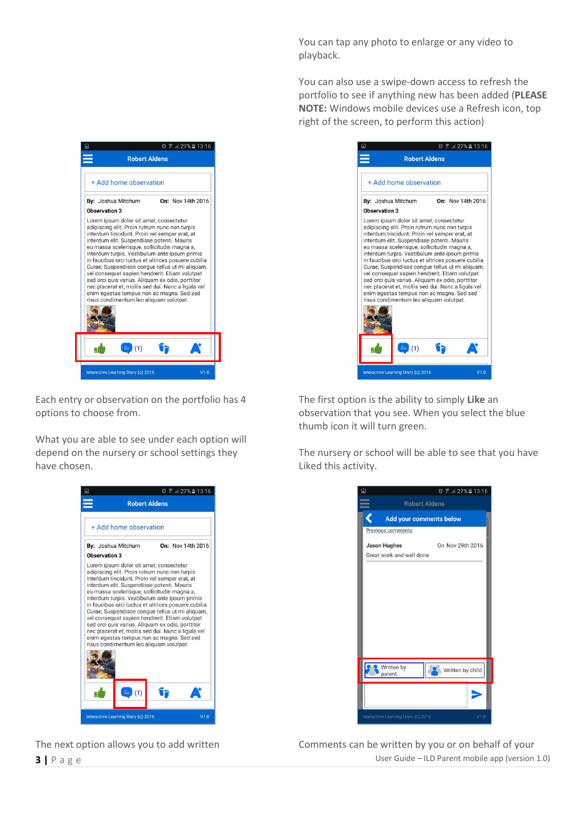You can tap any photo to enlarge or any video to playback.

You can also use a swipe-down access to refresh the portfolio to see if anything new has been added (**PLEASE NOTE:** Windows mobile devices use a Refresh icon, top right of the screen, to perform this action)



Each entry or observation on the portfolio has 4 options to choose from.

What you are able to see under each option will depend on the nursery or school settings they have chosen.





The first option is the ability to simply **Like** an observation that you see. When you select the blue thumb icon it will turn green.

The nursery or school will be able to see that you have Liked this activity.



**3** | P a g e User Guide – ILD Parent mobile app (version 1.0) The next option allows you to add written Comments can be written by you or on behalf of your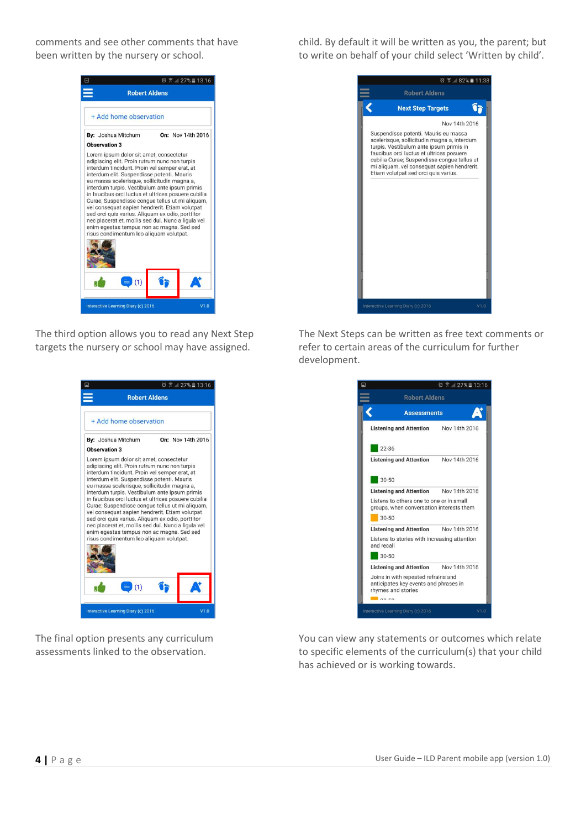comments and see other comments that have been written by the nursery or school.

> $\circ$   $\circ$   $\circ$   $127\%$   $13:16$ **Robert Aldens** + Add home observation By: Joshua Mitchum On: Nov 14th 2016 Observation 3 Lorem ipsum dolor sit amet, consectetur<br>adipiscing elit. Proin rutrum nunc non turpis interdum tincidunt. Proin vel semper erat, at<br>interdum elit. Suspendisse potenti. Mauris eu massa scelerisque, sollicitudin magna a interdum turpis. Vestibulum ante ipsum primis<br>in faucibus orci luctus et ultrices posuere cubilia Curae; Suspendisse congue tellus ut mi aliquam<br>vel consequat sapien hendrerit. Etiam volutpat sed orci quis varius. Aliquam ex odio, porttitor nec placerat et, mollis sed dui. Nunc a ligula vel<br>enim egestas tempus non ac magna. Sed sed risus condimentum leo aliquam volutpat. Úþ At  $(1)$

The third option allows you to read any Next Step targets the nursery or school may have assigned.



The final option presents any curriculum assessments linked to the observation.

child. By default it will be written as you, the parent; but to write on behalf of your child select 'Written by child'.



The Next Steps can be written as free text comments or refer to certain areas of the curriculum for further development.

|                                                                                                                   | $27\%$ 13:16<br>ଚ |
|-------------------------------------------------------------------------------------------------------------------|-------------------|
| <b>Robert Aldens</b>                                                                                              |                   |
| <b>Assessments</b>                                                                                                |                   |
| <b>Listening and Attention</b>                                                                                    | Nov 14th 2016     |
| $22 - 36$                                                                                                         |                   |
| <b>Listening and Attention</b>                                                                                    | Nov 14th 2016     |
| $30 - 50$<br><b>Listening and Attention</b>                                                                       | Nov 14th 2016     |
| Listens to others one to one or in small<br>groups, when conversation interests them                              |                   |
| $30 - 50$                                                                                                         |                   |
| <b>Listening and Attention</b>                                                                                    | Nov 14th 2016     |
| Listens to stories with increasing attention<br>and recall                                                        |                   |
| $30-50$                                                                                                           |                   |
| Listening and Attention Nov 14th 2016                                                                             |                   |
| Joins in with repeated refrains and<br>anticipates key events and phrases in<br>rhymes and stories<br>$\sim$ 0.50 |                   |
|                                                                                                                   |                   |

You can view any statements or outcomes which relate to specific elements of the curriculum(s) that your child has achieved or is working towards.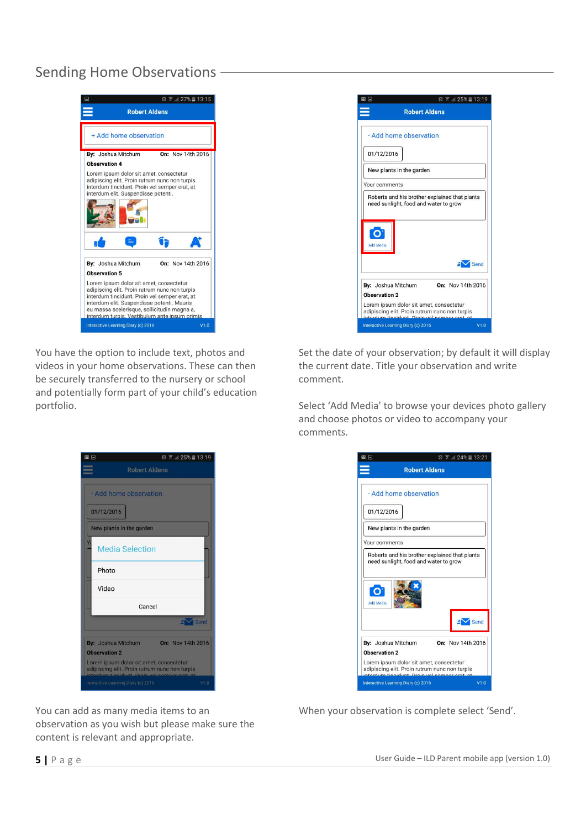## Sending Home Observations



You have the option to include text, photos and videos in your home observations. These can then be securely transferred to the nursery or school and potentially form part of your child's education portfolio.

◎ ? 25% 13:19

| MD D<br><b>Robert Aldens</b>                                                                                                 | $\circ$ $\circ$ 25% 13:19 |
|------------------------------------------------------------------------------------------------------------------------------|---------------------------|
|                                                                                                                              |                           |
| - Add home observation                                                                                                       |                           |
| 01/12/2016                                                                                                                   |                           |
| New plants in the garden                                                                                                     |                           |
| Your comments                                                                                                                |                           |
| need sunlight, food and water to grow<br><b>Add Media</b>                                                                    |                           |
|                                                                                                                              | Send                      |
| By: Joshua Mitchum                                                                                                           | On: Nov 14th 2016         |
|                                                                                                                              |                           |
|                                                                                                                              |                           |
| Observation 2<br>Lorem ipsum dolor sit amet, consectetur<br>adipiscing elit. Proin rutrum nunc non turpis<br>ardum tingidunt |                           |

Set the date of your observation; by default it will display the current date. Title your observation and write comment.

Select 'Add Media' to browse your devices photo gallery and choose photos or video to accompany your comments.



When your observation is complete select 'Send'.

- Add home observation 01/12/2016 New plants in the garden **Media Selection** Photo Video Cancel  $\overline{\mathbb{R}}$ By: Joshua Mitchum On: Nov 14th 2016 Observation 2 Lorem ipsum dolor sit amet, consectetur<br>adipiscing elit. Proin rutrum nunc non turpis<br>interdum tipoidunt. Proin unl compar prot. of

You can add as many media items to an observation as you wish but please make sure the content is relevant and appropriate.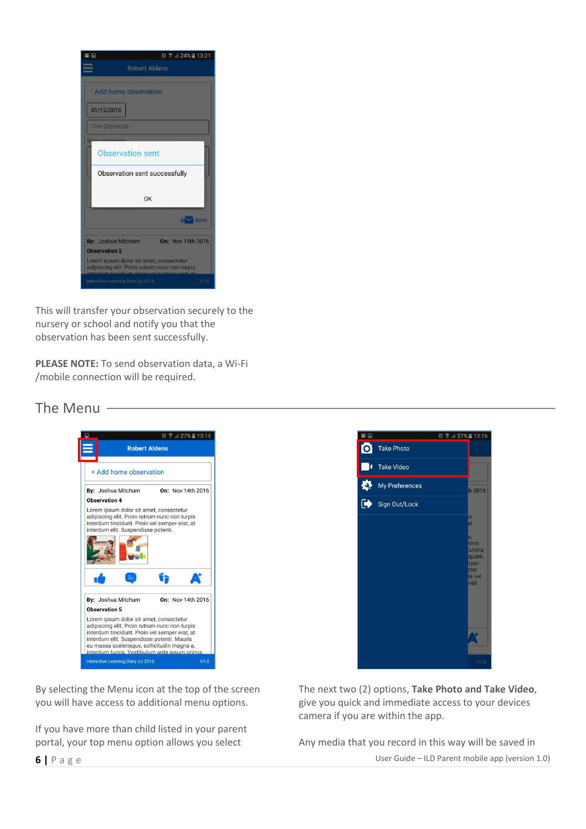| m D<br>$\circledcirc$ $\circledcirc$ $24\%$ $13:21$                                                                         |
|-----------------------------------------------------------------------------------------------------------------------------|
| <b>Robert Aldens</b>                                                                                                        |
| - Add home observation<br>01/12/2016<br><b>Title (Optional)</b><br><b>Observation sent</b><br>Observation sent successfully |
| OK                                                                                                                          |
| $\mathsf{H}$ Send                                                                                                           |
| By: Joshua Mitchum<br>On: Nov 14th 2016                                                                                     |
| <b>Observation 2</b>                                                                                                        |
| Lorem ipsum dolor sit amet, consectetur<br>adipiscing elit. Proin rutrum nunc non turpis                                    |
| Interactive Learning Diary (c) 2016<br>V1.0                                                                                 |

This will transfer your observation securely to the nursery or school and notify you that the observation has been sent successfully.

**PLEASE NOTE:** To send observation data, a Wi-Fi /mobile connection will be required.

#### The Menu



By selecting the Menu icon at the top of the screen you will have access to additional menu options.

If you have more than child listed in your parent portal, your top menu option allows you select



The next two (2) options, **Take Photo and Take Video**, give you quick and immediate access to your devices camera if you are within the app.

Any media that you record in this way will be saved in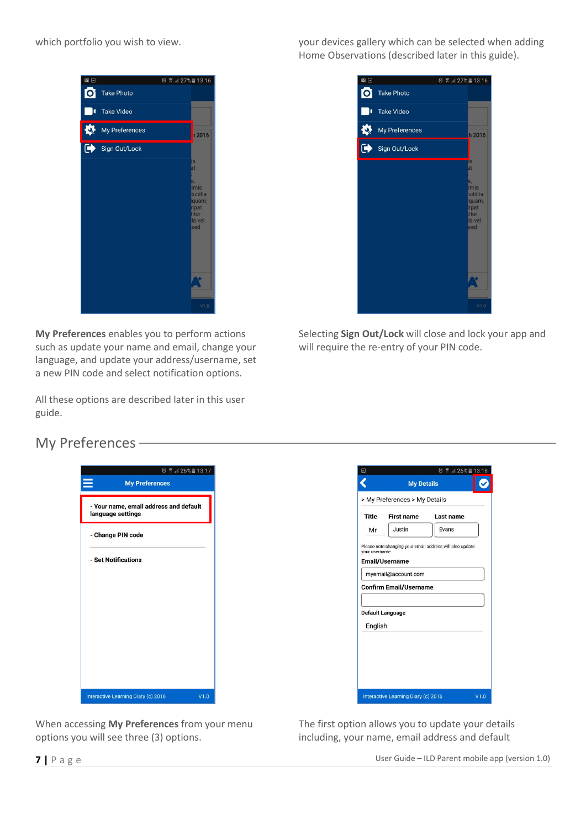

**My Preferences** enables you to perform actions such as update your name and email, change your language, and update your address/username, set a new PIN code and select notification options.

All these options are described later in this user guide.

which portfolio you wish to view. your devices gallery which can be selected when adding Home Observations (described later in this guide).



Selecting **Sign Out/Lock** will close and lock your app and will require the re-entry of your PIN code.

## My Preferences

| $\textcircled{3}$ $\textcircled{7}$ $\textcircled{1}$ 26% 13:17<br><b>My Preferences</b> |      |
|------------------------------------------------------------------------------------------|------|
| - Your name, email address and default<br>language settings                              |      |
| - Change PIN code                                                                        |      |
| - Set Notifications                                                                      |      |
| Interactive Learning Diary (c) 2016                                                      | V1.0 |

|              | > My Preferences > My Details                                          |           |
|--------------|------------------------------------------------------------------------|-----------|
| <b>Title</b> | <b>First name</b>                                                      | Last name |
| Mr           | Justin                                                                 | Evans     |
|              | Email/Username<br>myemail@account.com<br><b>Confirm Email/Username</b> |           |
|              |                                                                        |           |
|              | <b>Default Language</b>                                                |           |
| English      |                                                                        |           |
|              |                                                                        |           |
|              |                                                                        |           |
|              |                                                                        |           |
|              |                                                                        |           |

When accessing **My Preferences** from your menu options you will see three (3) options.

The first option allows you to update your details including, your name, email address and default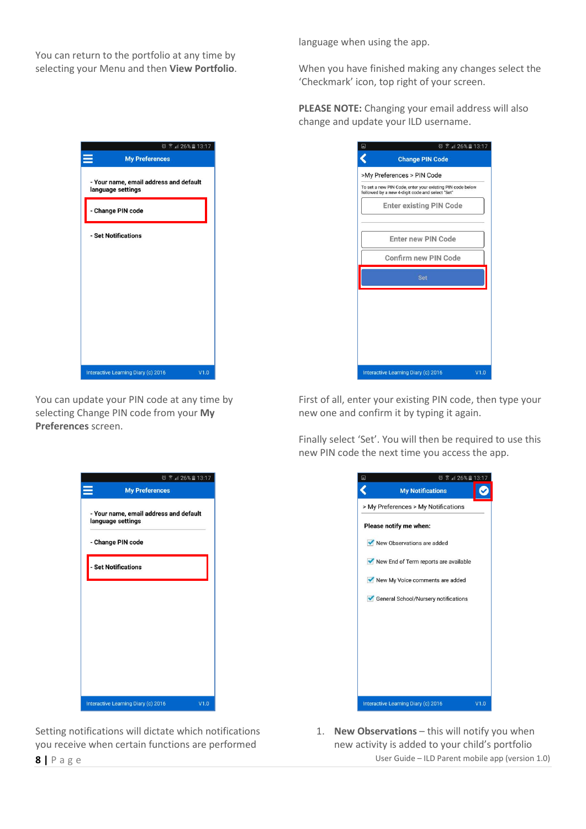You can return to the portfolio at any time by selecting your Menu and then **View Portfolio**. language when using the app.

When you have finished making any changes select the 'Checkmark' icon, top right of your screen.

**PLEASE NOTE:** Changing your email address will also change and update your ILD username.

| $\square$ | $@$ $@$ $4$ 26% $13:17$                                                                                      |
|-----------|--------------------------------------------------------------------------------------------------------------|
|           | <b>Change PIN Code</b>                                                                                       |
|           | >My Preferences > PIN Code                                                                                   |
|           | To set a new PIN Code, enter your existing PIN code below<br>followed by a new 4-digit code and select "Set" |
|           | <b>Enter existing PIN Code</b>                                                                               |
|           | <b>Enter new PIN Code</b>                                                                                    |
|           | Confirm new PIN Code                                                                                         |
|           | Set                                                                                                          |
|           |                                                                                                              |
|           |                                                                                                              |
|           |                                                                                                              |
|           |                                                                                                              |
|           |                                                                                                              |
|           | Interactive Learning Diary (c) 2016<br>V1.0                                                                  |

First of all, enter your existing PIN code, then type your new one and confirm it by typing it again.

Finally select 'Set'. You will then be required to use this new PIN code the next time you access the app.

| $\circ$ $\circ$ $\cdot$ $13:17$<br>Ξ  |      |
|---------------------------------------|------|
| <b>My Notifications</b>               |      |
| > My Preferences > My Notifications   |      |
| Please notify me when:                |      |
| New Observations are added            |      |
| New End of Term reports are available |      |
| New My Voice comments are added       |      |
| General School/Nursery notifications  |      |
|                                       |      |
|                                       |      |
|                                       |      |
|                                       |      |
|                                       |      |
| Interactive Learning Diary (c) 2016   | V1.0 |

**8** | P a g e User Guide – ILD Parent mobile app (version 1.0) 1. **New Observations** – this will notify you when new activity is added to your child's portfolio

| $\textcircled{3}$ $\textcircled{3}$ $\textcircled{1}$ 26% $\textcircled{1}$ 13:17 |  |
|-----------------------------------------------------------------------------------|--|
| <b>My Preferences</b>                                                             |  |
| - Your name, email address and default<br>language settings                       |  |
| - Change PIN code                                                                 |  |
| - Set Notifications                                                               |  |
|                                                                                   |  |
|                                                                                   |  |
|                                                                                   |  |
|                                                                                   |  |
|                                                                                   |  |
| Interactive Learning Diary (c) 2016<br>V1.0                                       |  |

You can update your PIN code at any time by selecting Change PIN code from your **My Preferences** screen.

| ◎ ▼ 4 26% 13:17                                             |  |
|-------------------------------------------------------------|--|
| <b>My Preferences</b>                                       |  |
| - Your name, email address and default<br>language settings |  |
| - Change PIN code                                           |  |
| - Set Notifications                                         |  |
|                                                             |  |
|                                                             |  |
|                                                             |  |
|                                                             |  |
|                                                             |  |
| Interactive Learning Diary (c) 2016<br>V1.0                 |  |

Setting notifications will dictate which notifications you receive when certain functions are performed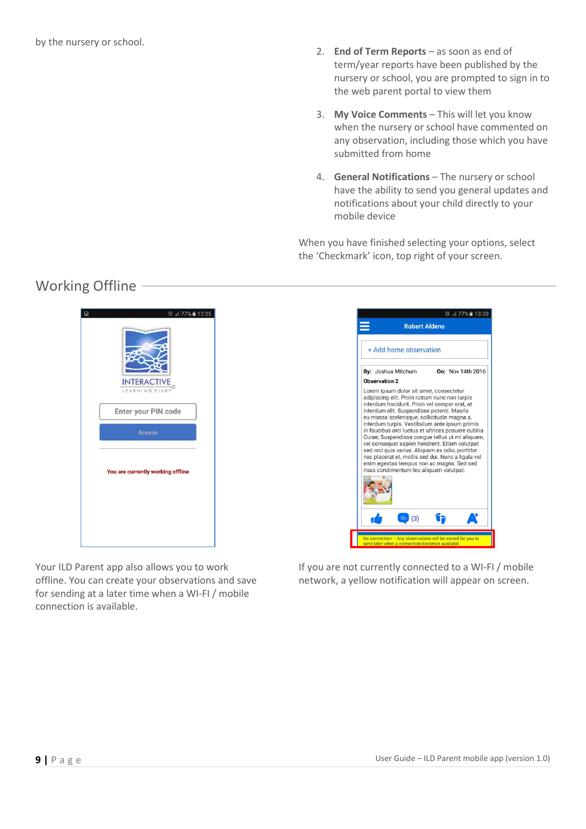- 2. **End of Term Reports**  as soon as end of term/year reports have been published by the nursery or school, you are prompted to sign in to the web parent portal to view them
- 3. **My Voice Comments** This will let you know when the nursery or school have commented on any observation, including those which you have submitted from home
- 4. **General Notifications** The nursery or school have the ability to send you general updates and notifications about your child directly to your mobile device

When you have finished selecting your options, select the 'Checkmark' icon, top right of your screen.

## Working Offline



ම 13:20 **Robert Aldens** + Add home observation By: Joshua Mitchum On: Nov 14th 2016 Observation 2 Lorem ipsum dolor sit amet, consectetur adipiscing elit. Proin rutrum nunc non turpis<br>interdum tincidunt. Proin vel semper erat, at interdum elit. Suspendisse potenti. Mauris<br>eu massa scelerisque, sollicitudin magna a,<br>interdum turpis. Vestibulum ante ipsum primis in faucibus orci luctus et ultrices posuere cubilia<br>Curae; Suspendisse congue tellus ut mi aliquam, Sel consequat sapien hendrerit. Etiam volutipat<br>sel consequat sapien hendrerit. Etiam volutipat<br>sed orci quis varius. Aliquam ex odio, porttitor<br>nec placerat et, mollis sed dui. Nunc a ligula vel enim egestas tempus non ac magna. Sed sed<br>risus condimentum leo aliquam volutpat.  $\equiv$  (3) Ũħ

Your ILD Parent app also allows you to work offline. You can create your observations and save for sending at a later time when a WI-FI / mobile connection is available.

If you are not currently connected to a WI-FI / mobile network, a yellow notification will appear on screen.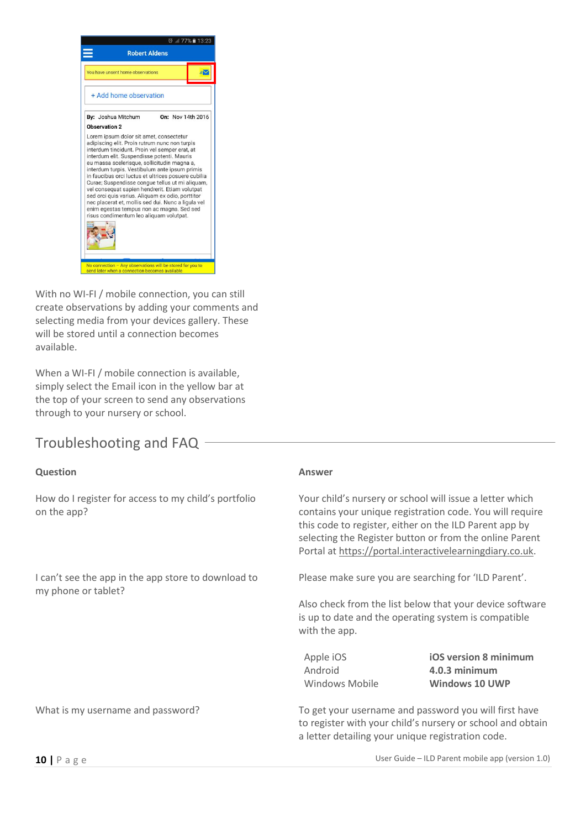

With no WI-FI / mobile connection, you can still create observations by adding your comments and selecting media from your devices gallery. These will be stored until a connection becomes available.

When a WI-FI / mobile connection is available, simply select the Email icon in the yellow bar at the top of your screen to send any observations through to your nursery or school.

### Troubleshooting and FAQ

#### **Question Answer** How do I register for access to my child's portfolio on the app? Your child's nursery or school will issue a letter which contains your unique registration code. You will require this code to register, either on the ILD Parent app by selecting the Register button or from the online Parent Portal at https://portal.interactivelearningdiary.co.uk. I can't see the app in the app store to download to my phone or tablet? Please make sure you are searching for 'ILD Parent'. Also check from the list below that your device software is up to date and the operating system is compatible with the app. Apple iOS **iOS version 8 minimum** Android **4.0.3 minimum** Windows Mobile **Windows 10 UWP** What is my username and password? To get your username and password you will first have to register with your child's nursery or school and obtain a letter detailing your unique registration code.